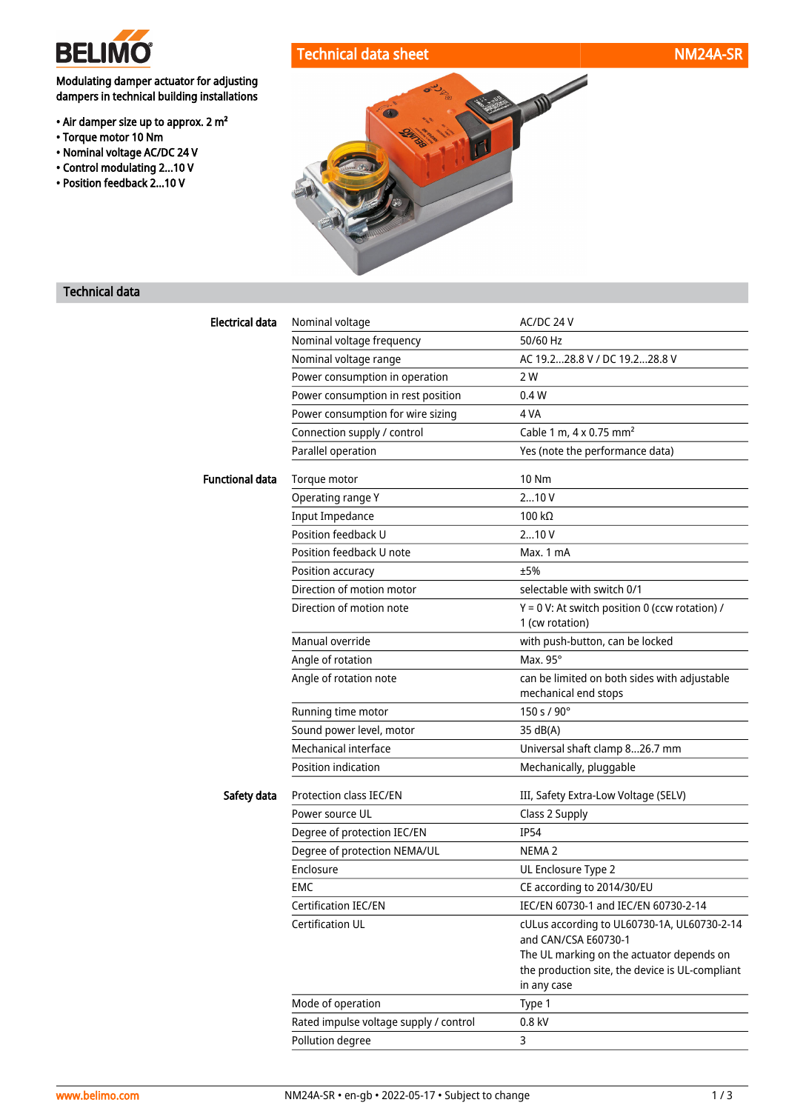

• Torque motor 10 Nm • Nominal voltage AC/DC 24 V • Control modulating 2...10 V • Position feedback 2...10 V

Modulating damper actuator for adjusting dampers in technical building installations

• Air damper size up to approx. 2 m²



# Technical data

| Electrical data        | Nominal voltage                        | AC/DC 24 V                                                                                                  |
|------------------------|----------------------------------------|-------------------------------------------------------------------------------------------------------------|
|                        | Nominal voltage frequency              | 50/60 Hz                                                                                                    |
|                        | Nominal voltage range                  | AC 19.228.8 V / DC 19.228.8 V                                                                               |
|                        | Power consumption in operation         | 2 W                                                                                                         |
|                        | Power consumption in rest position     | 0.4W                                                                                                        |
|                        | Power consumption for wire sizing      | 4 VA                                                                                                        |
|                        | Connection supply / control            | Cable 1 m, $4 \times 0.75$ mm <sup>2</sup>                                                                  |
|                        | Parallel operation                     | Yes (note the performance data)                                                                             |
| <b>Functional data</b> | Torque motor                           | <b>10 Nm</b>                                                                                                |
|                        | Operating range Y                      | 210V                                                                                                        |
|                        | <b>Input Impedance</b>                 | 100 $k\Omega$                                                                                               |
|                        | Position feedback U                    | 210V                                                                                                        |
|                        | Position feedback U note               | Max. 1 mA                                                                                                   |
|                        | Position accuracy                      | ±5%                                                                                                         |
|                        | Direction of motion motor              | selectable with switch 0/1                                                                                  |
|                        | Direction of motion note               | $Y = 0$ V: At switch position 0 (ccw rotation) /                                                            |
|                        |                                        | 1 (cw rotation)                                                                                             |
|                        | Manual override                        | with push-button, can be locked                                                                             |
|                        | Angle of rotation                      | Max. 95°                                                                                                    |
|                        | Angle of rotation note                 | can be limited on both sides with adjustable<br>mechanical end stops                                        |
|                        | Running time motor                     | 150 s / 90°                                                                                                 |
|                        | Sound power level, motor               | 35 dB(A)                                                                                                    |
|                        | Mechanical interface                   | Universal shaft clamp 826.7 mm                                                                              |
|                        | Position indication                    | Mechanically, pluggable                                                                                     |
| Safety data            | Protection class IEC/EN                | III, Safety Extra-Low Voltage (SELV)                                                                        |
|                        | Power source UL                        | Class 2 Supply                                                                                              |
|                        | Degree of protection IEC/EN            | <b>IP54</b>                                                                                                 |
|                        | Degree of protection NEMA/UL           | NEMA <sub>2</sub>                                                                                           |
|                        | Enclosure                              | UL Enclosure Type 2                                                                                         |
|                        | EMC                                    | CE according to 2014/30/EU                                                                                  |
|                        | Certification IEC/EN                   | IEC/EN 60730-1 and IEC/EN 60730-2-14                                                                        |
|                        | Certification UL                       | cULus according to UL60730-1A, UL60730-2-14<br>and CAN/CSA E60730-1                                         |
|                        |                                        | The UL marking on the actuator depends on<br>the production site, the device is UL-compliant<br>in any case |
|                        | Mode of operation                      | Type 1                                                                                                      |
|                        | Rated impulse voltage supply / control | 0.8 kV                                                                                                      |
|                        | Pollution degree                       | 3                                                                                                           |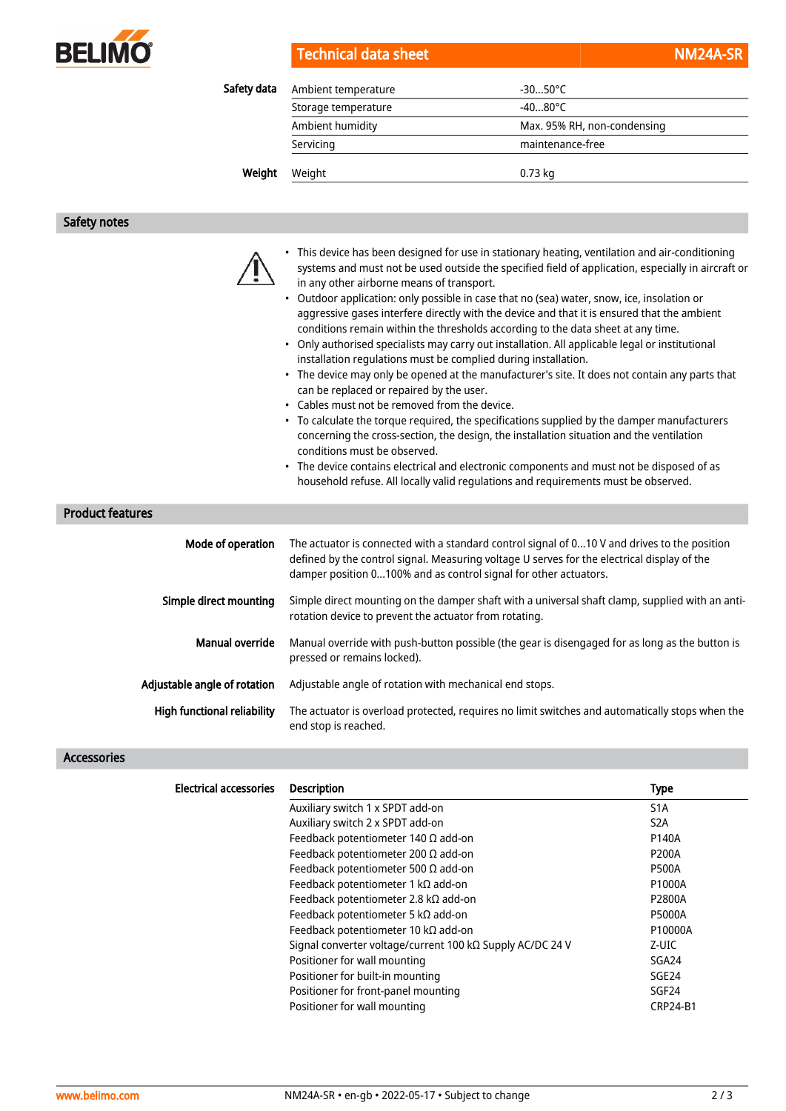

# Technical data sheet NM24A-SRR NM24A-SRR NM24A-SRR NM24A-SRR NM24A-SRR NM24A-SRR NM24A-SRR NM24A-SR

| Safety data | Ambient temperature | $-3050^{\circ}$ C           |  |
|-------------|---------------------|-----------------------------|--|
|             | Storage temperature | $-4080^{\circ}$ C           |  |
|             | Ambient humidity    | Max. 95% RH, non-condensing |  |
|             | Servicing           | maintenance-free            |  |
| Weight      | Weight              | $0.73$ kg                   |  |
|             |                     |                             |  |

### Safety notes

|  | This dev |
|--|----------|
|  | systems  |
|  | in any o |
|  | Outdoo   |
|  |          |

- rice has been designed for use in stationary heating, ventilation and air-conditioning and must not be used outside the specified field of application, especially in aircraft or ther airborne means of transport.
- r application: only possible in case that no (sea) water, snow, ice, insolation or aggressive gases interfere directly with the device and that it is ensured that the ambient conditions remain within the thresholds according to the data sheet at any time.
- Only authorised specialists may carry out installation. All applicable legal or institutional installation regulations must be complied during installation.
- The device may only be opened at the manufacturer's site. It does not contain any parts that can be replaced or repaired by the user.
- Cables must not be removed from the device.
- To calculate the torque required, the specifications supplied by the damper manufacturers concerning the cross-section, the design, the installation situation and the ventilation conditions must be observed.
- The device contains electrical and electronic components and must not be disposed of as household refuse. All locally valid regulations and requirements must be observed.

## Product features

| Mode of operation                  | The actuator is connected with a standard control signal of 010 V and drives to the position<br>defined by the control signal. Measuring voltage U serves for the electrical display of the<br>damper position 0100% and as control signal for other actuators. |
|------------------------------------|-----------------------------------------------------------------------------------------------------------------------------------------------------------------------------------------------------------------------------------------------------------------|
| Simple direct mounting             | Simple direct mounting on the damper shaft with a universal shaft clamp, supplied with an anti-<br>rotation device to prevent the actuator from rotating.                                                                                                       |
| Manual override                    | Manual override with push-button possible (the gear is disengaged for as long as the button is<br>pressed or remains locked).                                                                                                                                   |
| Adjustable angle of rotation       | Adjustable angle of rotation with mechanical end stops.                                                                                                                                                                                                         |
| <b>High functional reliability</b> | The actuator is overload protected, requires no limit switches and automatically stops when the<br>end stop is reached.                                                                                                                                         |

### Accessories

| <b>Electrical accessories</b> | <b>Description</b>                                        | <b>Type</b>       |
|-------------------------------|-----------------------------------------------------------|-------------------|
|                               | Auxiliary switch 1 x SPDT add-on                          | S <sub>1</sub> A  |
|                               | Auxiliary switch 2 x SPDT add-on                          | S <sub>2</sub> A  |
|                               | Feedback potentiometer 140 $\Omega$ add-on                | P140A             |
|                               | Feedback potentiometer 200 $\Omega$ add-on                | <b>P200A</b>      |
|                               | Feedback potentiometer 500 $\Omega$ add-on                | <b>P500A</b>      |
|                               | Feedback potentiometer 1 k $\Omega$ add-on                | P1000A            |
|                               | Feedback potentiometer 2.8 kΩ add-on                      | P2800A            |
|                               | Feedback potentiometer 5 k $\Omega$ add-on                | <b>P5000A</b>     |
|                               | Feedback potentiometer 10 $k\Omega$ add-on                | P10000A           |
|                               | Signal converter voltage/current 100 kΩ Supply AC/DC 24 V | Z-UIC             |
|                               | Positioner for wall mounting                              | SGA24             |
|                               | Positioner for built-in mounting                          | SGE <sub>24</sub> |
|                               | Positioner for front-panel mounting                       | SGF <sub>24</sub> |
|                               | Positioner for wall mounting                              | <b>CRP24-B1</b>   |